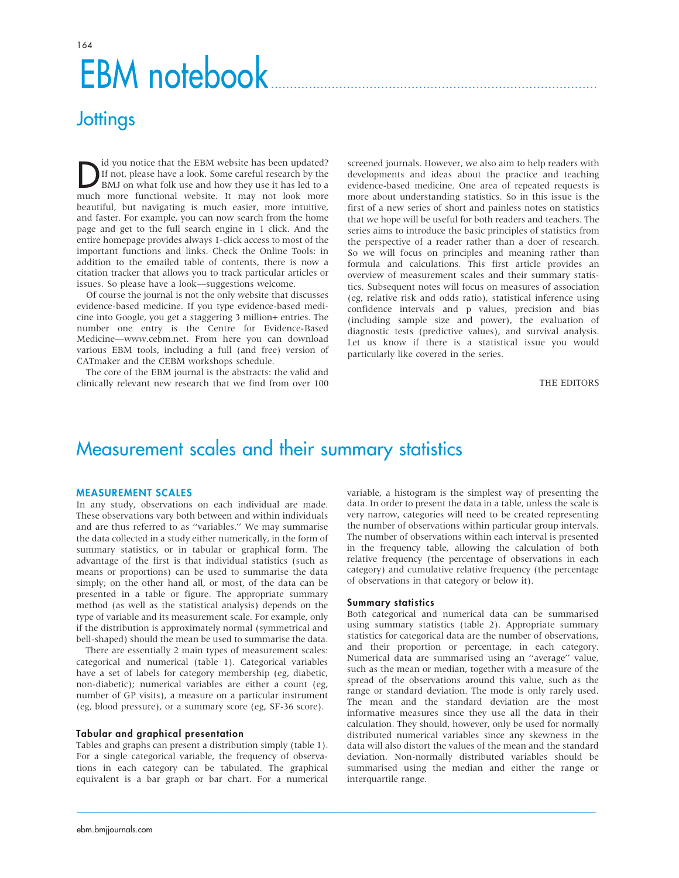# EBM notebook

# **Jottings**

Did you notice that the EBM website has been updated?<br>
If not, please have a look. Some careful research by the<br>
BMJ on what folk use and how they use it has led to a<br>
much more functional website. It may not look more If not, please have a look. Some careful research by the much more functional website. It may not look more beautiful, but navigating is much easier, more intuitive, and faster. For example, you can now search from the home page and get to the full search engine in 1 click. And the entire homepage provides always 1-click access to most of the important functions and links. Check the Online Tools: in addition to the emailed table of contents, there is now a citation tracker that allows you to track particular articles or issues. So please have a look—suggestions welcome.

Of course the journal is not the only website that discusses evidence-based medicine. If you type evidence-based medicine into Google, you get a staggering 3 million+ entries. The number one entry is the Centre for Evidence-Based Medicine—www.cebm.net. From here you can download various EBM tools, including a full (and free) version of CATmaker and the CEBM workshops schedule.

The core of the EBM journal is the abstracts: the valid and clinically relevant new research that we find from over 100

screened journals. However, we also aim to help readers with developments and ideas about the practice and teaching evidence-based medicine. One area of repeated requests is more about understanding statistics. So in this issue is the first of a new series of short and painless notes on statistics that we hope will be useful for both readers and teachers. The series aims to introduce the basic principles of statistics from the perspective of a reader rather than a doer of research. So we will focus on principles and meaning rather than formula and calculations. This first article provides an overview of measurement scales and their summary statistics. Subsequent notes will focus on measures of association (eg, relative risk and odds ratio), statistical inference using confidence intervals and p values, precision and bias (including sample size and power), the evaluation of diagnostic tests (predictive values), and survival analysis. Let us know if there is a statistical issue you would particularly like covered in the series.

### THE EDITORS

# Measurement scales and their summary statistics

## MEASUREMENT SCALES

In any study, observations on each individual are made. These observations vary both between and within individuals and are thus referred to as ''variables.'' We may summarise the data collected in a study either numerically, in the form of summary statistics, or in tabular or graphical form. The advantage of the first is that individual statistics (such as means or proportions) can be used to summarise the data simply; on the other hand all, or most, of the data can be presented in a table or figure. The appropriate summary method (as well as the statistical analysis) depends on the type of variable and its measurement scale. For example, only if the distribution is approximately normal (symmetrical and bell-shaped) should the mean be used to summarise the data.

There are essentially 2 main types of measurement scales: categorical and numerical (table 1). Categorical variables have a set of labels for category membership (eg, diabetic, non-diabetic); numerical variables are either a count (eg, number of GP visits), a measure on a particular instrument (eg, blood pressure), or a summary score (eg, SF-36 score).

#### Tabular and graphical presentation

Tables and graphs can present a distribution simply (table 1). For a single categorical variable, the frequency of observations in each category can be tabulated. The graphical equivalent is a bar graph or bar chart. For a numerical variable, a histogram is the simplest way of presenting the data. In order to present the data in a table, unless the scale is very narrow, categories will need to be created representing the number of observations within particular group intervals. The number of observations within each interval is presented in the frequency table, allowing the calculation of both relative frequency (the percentage of observations in each category) and cumulative relative frequency (the percentage of observations in that category or below it).

### Summary statistics

 $\_$  , and the state of the state of the state of the state of the state of the state of the state of the state of the state of the state of the state of the state of the state of the state of the state of the state of the

Both categorical and numerical data can be summarised using summary statistics (table 2). Appropriate summary statistics for categorical data are the number of observations, and their proportion or percentage, in each category. Numerical data are summarised using an ''average'' value, such as the mean or median, together with a measure of the spread of the observations around this value, such as the range or standard deviation. The mode is only rarely used. The mean and the standard deviation are the most informative measures since they use all the data in their calculation. They should, however, only be used for normally distributed numerical variables since any skewness in the data will also distort the values of the mean and the standard deviation. Non-normally distributed variables should be summarised using the median and either the range or interquartile range.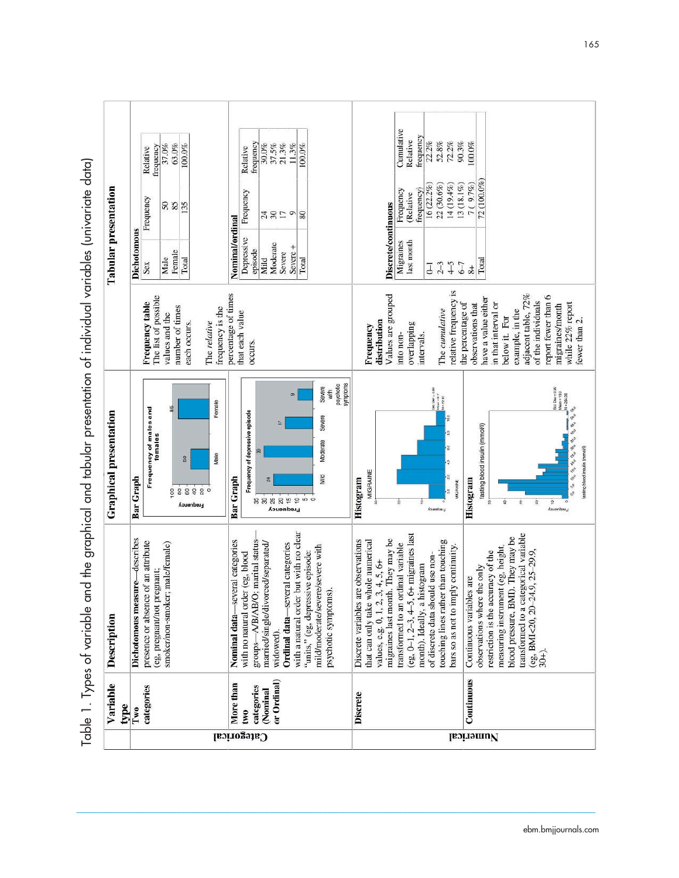Table 1. Types of variable and the graphical and tabular presentation of individual variables (univariate data) Table 1. Types of variable and the graphical and tabular presentation of individual variables (univariate data)

|                               |                               |                                                                    |                                 |                                 | <b>Categorical</b>               |                                 |                                  |                                  |                                                |                                 |                                        |                                   |                                                                  |          |                                                                           |                                                                               |                                    |                                                  |                              |                                             |                                     |                                     |                                        | Numerical                      |                                                                         |                                   |                                                                         |                                           |                                                                            |                                                                                                                                                                                                                                                                                     |
|-------------------------------|-------------------------------|--------------------------------------------------------------------|---------------------------------|---------------------------------|----------------------------------|---------------------------------|----------------------------------|----------------------------------|------------------------------------------------|---------------------------------|----------------------------------------|-----------------------------------|------------------------------------------------------------------|----------|---------------------------------------------------------------------------|-------------------------------------------------------------------------------|------------------------------------|--------------------------------------------------|------------------------------|---------------------------------------------|-------------------------------------|-------------------------------------|----------------------------------------|--------------------------------|-------------------------------------------------------------------------|-----------------------------------|-------------------------------------------------------------------------|-------------------------------------------|----------------------------------------------------------------------------|-------------------------------------------------------------------------------------------------------------------------------------------------------------------------------------------------------------------------------------------------------------------------------------|
| Variable<br>type              | Two                           | categories                                                         |                                 |                                 |                                  | More than                       | two                              | categories                       | or Ordinal)<br>(Nominal                        |                                 |                                        |                                   |                                                                  |          | <b>Discrete</b>                                                           |                                                                               |                                    |                                                  |                              |                                             |                                     |                                     | Continuous                             |                                |                                                                         |                                   |                                                                         |                                           |                                                                            |                                                                                                                                                                                                                                                                                     |
| Description                   | Dichotomous measure—describes | presence or absence of an attribute<br>(eg, pregnant/not pregnant; | smoker/non-smoker; male/female) |                                 |                                  | Nominal data-several categories | with no natural order (eg, blood | groups-A/B/AB/O; marital status- | married/single/divorced/separated/<br>widowed) | Ordinal data-several categories | with a natural order but with no clear | "units," (eg, depressive episode: | mild/moderate/severe/severe with<br>psychotic symptoms).         |          | Discrete variables are observations<br>that can only take whole numerical | migraines last month. They may be<br>$3, 4, 5, 6+$<br>values, e.g. 0, 1, 2, 1 | transformed to an ordinal variable | (eg, $0-1$ , $2-3$ , $4-5$ , $6+$ migraines last | month). Ideally, a histogram | of discrete data should use non-            | touching lines rather than touching | bars so as not to imply continuity. | Continuous variables are               | observations where the only    | measuring instrument (eg, height,<br>restriction is the accuracy of the | blood pressure, BMI). They may be | transformed to a categorical variable<br>(eg, BMI<20, 20-24.9, 25-29.9, | $30+)$ .                                  |                                                                            |                                                                                                                                                                                                                                                                                     |
| <b>Graphical presentation</b> | Bar Graph                     | Frequency of males and<br>females                                  | 53                              | SO<br>88898<br><b>Liedneucy</b> | Female<br>Male<br>$\circ$        | <b>Bar Graph</b>                | Frequency of depressive episode  | R                                | నే                                             | <b>Erequency</b>                |                                        | ********                          | psychotic<br><b>Severe</b><br>with<br>Bevere<br>Moderate<br>Mild | symptoms | MIGRAINE<br>Histogram                                                     |                                                                               |                                    |                                                  | $\hat{\mathbf{x}}$           | $285. 247 + 2.52$<br>NGC 1-3.7<br>Erequency | $N = 72.00$                         | MIGRAINE                            | Histogram                              | fasting blood insulin (mmol/l) |                                                                         | ş                                 | R,                                                                      | $\mathbb{R}$                              | Std. Dw = 0.42<br>Nasn = 13.0<br>N = 254.00<br>e,<br>$\sigma$<br>Frequency | $\mathcal{E}_{\mathcal{O}}$ , $\mathcal{E}_{\mathcal{O}}$<br><b>SE</b><br>$\begin{array}{c} \phi_0 \\ \phi_0 \\ \phi_1 \\ \end{array} \begin{array}{c} \phi_0 \\ \phi_0 \\ \end{array} \begin{array}{c} \phi_1 \\ \phi_0 \\ \end{array}$<br>fasting blood insulin (mmol/l)<br>20 20 |
|                               |                               | The list of possible<br>Frequency table                            | values and the                  | number of times<br>each occurs. | frequency is the<br>The relative | percentage of times             | that each value<br>occurs.       |                                  |                                                |                                 |                                        |                                   |                                                                  |          | Frequency                                                                 | Values are grouped<br>distribution                                            | into non-                          | overlapping                                      | intervals.                   |                                             | The cumulative                      | relative frequency is               | the percentage of<br>observations that | have a value either            | in that interval or                                                     | example, in the<br>below it. For  | adjacent table, 72%                                                     | report fewer than 6<br>of the individuals | migraines/month                                                            | while 22% report<br>fewer than 2.                                                                                                                                                                                                                                                   |
| <b>Tabular</b> presentation   | Dichotomous                   | Sex                                                                | Female<br>Male                  | Total                           |                                  | Nominal/ordinal                 | Depressive                       | episode<br>Mild                  | Moderate                                       | Severe                          | Severe +                               | Total                             |                                                                  |          |                                                                           | <b>Discrete/continuous</b>                                                    | Migraines                          | last month                                       |                              | $2 - 3$<br>J                                | $4-5$                               | $6-7$                               | $8+$                                   | Total                          |                                                                         |                                   |                                                                         |                                           |                                                                            |                                                                                                                                                                                                                                                                                     |
|                               |                               | Frequency                                                          | SS <sub>3</sub>                 | 135                             |                                  |                                 | Frequency                        |                                  | 36                                             | $\overline{\phantom{0}}$        | $\circ$                                | 80                                |                                                                  |          |                                                                           |                                                                               | Frequency                          | (Relative                                        | 16 (22.2%)<br>frequency)     | 22 (30.6%)                                  | 14 (19.4%)                          | 13 (18.1%)                          | 7 ( 9.7%)                              | 72 (100.0%)                    |                                                                         |                                   |                                                                         |                                           |                                                                            |                                                                                                                                                                                                                                                                                     |
|                               |                               | frequency<br>Relative                                              | 37.0%<br>63.0%                  | 100.0%                          |                                  |                                 | Relative                         | frequency<br>30.0%               | 37.5%                                          | 21.3%                           | 11.3%                                  | 100.0%                            |                                                                  |          |                                                                           |                                                                               | Cumulative                         | Relative                                         | frequency<br>22.2%           | 52.8%                                       | 72.2%                               | 90.3%                               | 100.0%                                 |                                |                                                                         |                                   |                                                                         |                                           |                                                                            |                                                                                                                                                                                                                                                                                     |
|                               |                               |                                                                    |                                 |                                 |                                  |                                 |                                  |                                  |                                                |                                 |                                        |                                   |                                                                  |          |                                                                           |                                                                               |                                    |                                                  |                              |                                             |                                     |                                     |                                        |                                |                                                                         |                                   |                                                                         |                                           |                                                                            |                                                                                                                                                                                                                                                                                     |

 $\mathcal{L} = \{ \mathcal{L} = \{ \mathcal{L} = \{ \mathcal{L} = \{ \mathcal{L} = \{ \mathcal{L} = \{ \mathcal{L} = \{ \mathcal{L} = \{ \mathcal{L} = \{ \mathcal{L} = \{ \mathcal{L} = \{ \mathcal{L} = \{ \mathcal{L} = \{ \mathcal{L} = \{ \mathcal{L} = \{ \mathcal{L} = \{ \mathcal{L} = \{ \mathcal{L} = \{ \mathcal{L} = \{ \mathcal{L} = \{ \mathcal{L} = \{ \mathcal{L} = \{ \mathcal{L} = \{ \mathcal{L} = \{ \mathcal{$